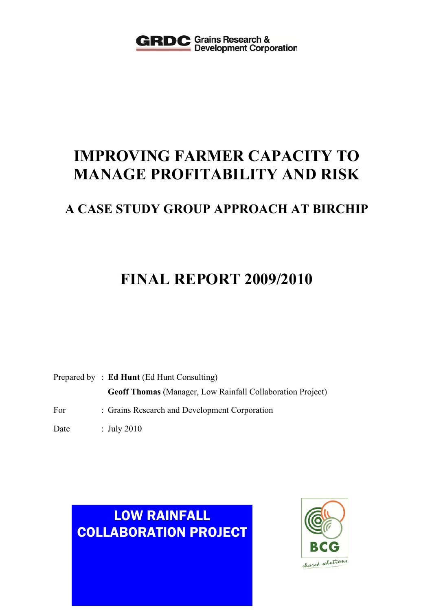

# **IMPROVING FARMER CAPACITY TO MANAGE PROFITABILITY AND RISK**

# **A CASE STUDY GROUP APPROACH AT BIRCHIP**

# **FINAL REPORT 2009/2010**

Prepared by : **Ed Hunt** (Ed Hunt Consulting) **Geoff Thomas** (Manager, Low Rainfall Collaboration Project)

- For : Grains Research and Development Corporation
- Date : July 2010

# LOW RAINFALL COLLABORATION PROJECT

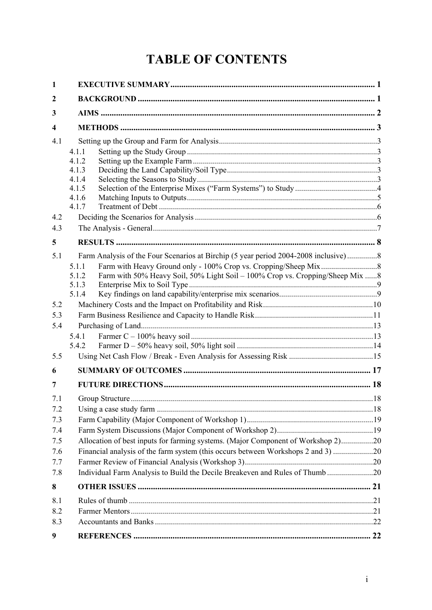# **TABLE OF CONTENTS**

| 1                                                    |                                                                                                                                                                                                                                                     |  |
|------------------------------------------------------|-----------------------------------------------------------------------------------------------------------------------------------------------------------------------------------------------------------------------------------------------------|--|
| $\mathbf{2}$                                         |                                                                                                                                                                                                                                                     |  |
| 3                                                    |                                                                                                                                                                                                                                                     |  |
| $\overline{\mathbf{4}}$                              |                                                                                                                                                                                                                                                     |  |
| 4.1                                                  | 4.1.1<br>4.1.2<br>4.1.3<br>4.1.4<br>4.1.5<br>4.1.6<br>4.1.7                                                                                                                                                                                         |  |
| 4.2                                                  |                                                                                                                                                                                                                                                     |  |
| 4.3                                                  |                                                                                                                                                                                                                                                     |  |
| 5<br>5.1                                             | Farm Analysis of the Four Scenarios at Birchip (5 year period 2004-2008 inclusive)8<br>5.1.1<br>Farm with 50% Heavy Soil, 50% Light Soil - 100% Crop vs. Cropping/Sheep Mix 8<br>5.1.2<br>5.1.3<br>5.1.4                                            |  |
| 5.2<br>5.3<br>5.4<br>5.5                             | 5.4.1<br>5.4.2                                                                                                                                                                                                                                      |  |
| 6                                                    |                                                                                                                                                                                                                                                     |  |
| 7                                                    |                                                                                                                                                                                                                                                     |  |
| 7.1<br>7.2<br>7.3<br>7.4<br>7.5<br>7.6<br>7.7<br>7.8 | Allocation of best inputs for farming systems. (Major Component of Workshop 2)20<br>Financial analysis of the farm system (this occurs between Workshops 2 and 3) 20<br>Individual Farm Analysis to Build the Decile Breakeven and Rules of Thumb20 |  |
| 8                                                    |                                                                                                                                                                                                                                                     |  |
| 8.1<br>8.2<br>8.3                                    |                                                                                                                                                                                                                                                     |  |
| 9                                                    |                                                                                                                                                                                                                                                     |  |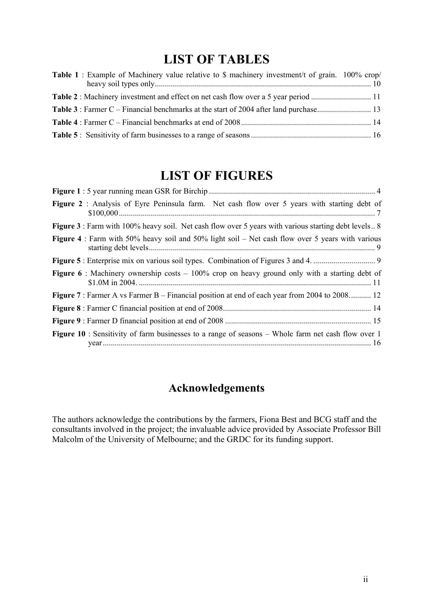# **LIST OF TABLES**

| <b>Table 1</b> : Example of Machinery value relative to \$ machinery investment/t of grain. 100% crop/ |  |
|--------------------------------------------------------------------------------------------------------|--|
|                                                                                                        |  |
|                                                                                                        |  |
|                                                                                                        |  |
|                                                                                                        |  |

# **LIST OF FIGURES**

| Figure 2 : Analysis of Eyre Peninsula farm. Net cash flow over 5 years with starting debt of                |
|-------------------------------------------------------------------------------------------------------------|
| <b>Figure 3</b> : Farm with 100% heavy soil. Net cash flow over 5 years with various starting debt levels 8 |
| <b>Figure 4</b> : Farm with 50% heavy soil and 50% light soil – Net cash flow over 5 years with various     |
|                                                                                                             |
| <b>Figure 6</b> : Machinery ownership costs $-100\%$ crop on heavy ground only with a starting debt of      |
| <b>Figure 7</b> : Farmer A vs Farmer B – Financial position at end of each year from 2004 to 2008 12        |
|                                                                                                             |
|                                                                                                             |
| Figure 10 : Sensitivity of farm businesses to a range of seasons - Whole farm net cash flow over 1          |

# **Acknowledgements**

The authors acknowledge the contributions by the farmers, Fiona Best and BCG staff and the consultants involved in the project; the invaluable advice provided by Associate Professor Bill Malcolm of the University of Melbourne; and the GRDC for its funding support.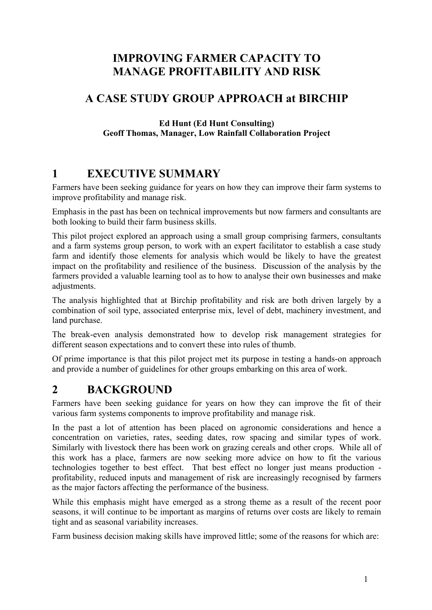# **IMPROVING FARMER CAPACITY TO MANAGE PROFITABILITY AND RISK**

# **A CASE STUDY GROUP APPROACH at BIRCHIP**

#### **Ed Hunt (Ed Hunt Consulting) Geoff Thomas, Manager, Low Rainfall Collaboration Project**

# **1 EXECUTIVE SUMMARY**

Farmers have been seeking guidance for years on how they can improve their farm systems to improve profitability and manage risk.

Emphasis in the past has been on technical improvements but now farmers and consultants are both looking to build their farm business skills.

This pilot project explored an approach using a small group comprising farmers, consultants and a farm systems group person, to work with an expert facilitator to establish a case study farm and identify those elements for analysis which would be likely to have the greatest impact on the profitability and resilience of the business. Discussion of the analysis by the farmers provided a valuable learning tool as to how to analyse their own businesses and make adjustments.

The analysis highlighted that at Birchip profitability and risk are both driven largely by a combination of soil type, associated enterprise mix, level of debt, machinery investment, and land purchase.

The break-even analysis demonstrated how to develop risk management strategies for different season expectations and to convert these into rules of thumb.

Of prime importance is that this pilot project met its purpose in testing a hands-on approach and provide a number of guidelines for other groups embarking on this area of work.

# **2 BACKGROUND**

Farmers have been seeking guidance for years on how they can improve the fit of their various farm systems components to improve profitability and manage risk.

In the past a lot of attention has been placed on agronomic considerations and hence a concentration on varieties, rates, seeding dates, row spacing and similar types of work. Similarly with livestock there has been work on grazing cereals and other crops. While all of this work has a place, farmers are now seeking more advice on how to fit the various technologies together to best effect. That best effect no longer just means production profitability, reduced inputs and management of risk are increasingly recognised by farmers as the major factors affecting the performance of the business.

While this emphasis might have emerged as a strong theme as a result of the recent poor seasons, it will continue to be important as margins of returns over costs are likely to remain tight and as seasonal variability increases.

Farm business decision making skills have improved little; some of the reasons for which are: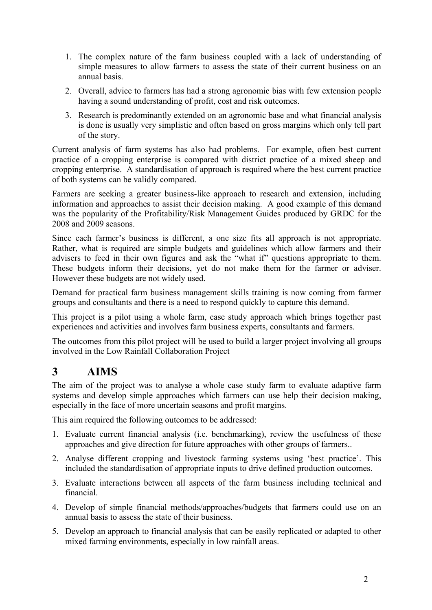- 1. The complex nature of the farm business coupled with a lack of understanding of simple measures to allow farmers to assess the state of their current business on an annual basis.
- 2. Overall, advice to farmers has had a strong agronomic bias with few extension people having a sound understanding of profit, cost and risk outcomes.
- 3. Research is predominantly extended on an agronomic base and what financial analysis is done is usually very simplistic and often based on gross margins which only tell part of the story.

Current analysis of farm systems has also had problems. For example, often best current practice of a cropping enterprise is compared with district practice of a mixed sheep and cropping enterprise. A standardisation of approach is required where the best current practice of both systems can be validly compared.

Farmers are seeking a greater business-like approach to research and extension, including information and approaches to assist their decision making. A good example of this demand was the popularity of the Profitability/Risk Management Guides produced by GRDC for the 2008 and 2009 seasons.

Since each farmer's business is different, a one size fits all approach is not appropriate. Rather, what is required are simple budgets and guidelines which allow farmers and their advisers to feed in their own figures and ask the "what if" questions appropriate to them. These budgets inform their decisions, yet do not make them for the farmer or adviser. However these budgets are not widely used.

Demand for practical farm business management skills training is now coming from farmer groups and consultants and there is a need to respond quickly to capture this demand.

This project is a pilot using a whole farm, case study approach which brings together past experiences and activities and involves farm business experts, consultants and farmers.

The outcomes from this pilot project will be used to build a larger project involving all groups involved in the Low Rainfall Collaboration Project

# **3 AIMS**

The aim of the project was to analyse a whole case study farm to evaluate adaptive farm systems and develop simple approaches which farmers can use help their decision making, especially in the face of more uncertain seasons and profit margins.

This aim required the following outcomes to be addressed:

- 1. Evaluate current financial analysis (i.e. benchmarking), review the usefulness of these approaches and give direction for future approaches with other groups of farmers..
- 2. Analyse different cropping and livestock farming systems using 'best practice'. This included the standardisation of appropriate inputs to drive defined production outcomes.
- 3. Evaluate interactions between all aspects of the farm business including technical and financial.
- 4. Develop of simple financial methods/approaches/budgets that farmers could use on an annual basis to assess the state of their business.
- 5. Develop an approach to financial analysis that can be easily replicated or adapted to other mixed farming environments, especially in low rainfall areas.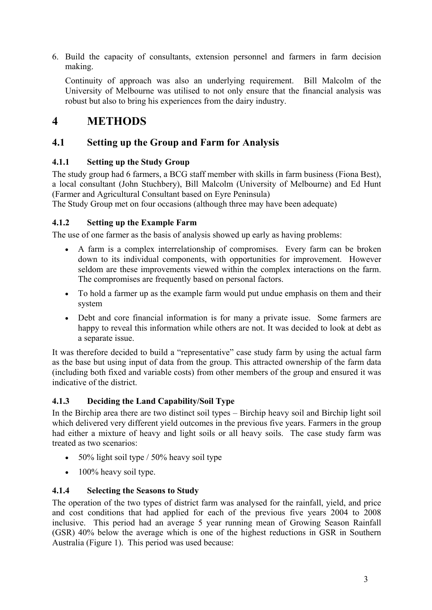6. Build the capacity of consultants, extension personnel and farmers in farm decision making.

Continuity of approach was also an underlying requirement. Bill Malcolm of the University of Melbourne was utilised to not only ensure that the financial analysis was robust but also to bring his experiences from the dairy industry.

# **4 METHODS**

## **4.1 Setting up the Group and Farm for Analysis**

### **4.1.1 Setting up the Study Group**

The study group had 6 farmers, a BCG staff member with skills in farm business (Fiona Best), a local consultant (John Stuchbery), Bill Malcolm (University of Melbourne) and Ed Hunt (Farmer and Agricultural Consultant based on Eyre Peninsula)

The Study Group met on four occasions (although three may have been adequate)

### **4.1.2 Setting up the Example Farm**

The use of one farmer as the basis of analysis showed up early as having problems:

- A farm is a complex interrelationship of compromises. Every farm can be broken down to its individual components, with opportunities for improvement. However seldom are these improvements viewed within the complex interactions on the farm. The compromises are frequently based on personal factors.
- To hold a farmer up as the example farm would put undue emphasis on them and their system
- Debt and core financial information is for many a private issue. Some farmers are happy to reveal this information while others are not. It was decided to look at debt as a separate issue.

It was therefore decided to build a "representative" case study farm by using the actual farm as the base but using input of data from the group. This attracted ownership of the farm data (including both fixed and variable costs) from other members of the group and ensured it was indicative of the district.

### **4.1.3 Deciding the Land Capability/Soil Type**

In the Birchip area there are two distinct soil types – Birchip heavy soil and Birchip light soil which delivered very different yield outcomes in the previous five years. Farmers in the group had either a mixture of heavy and light soils or all heavy soils. The case study farm was treated as two scenarios:

- 50% light soil type  $/$  50% heavy soil type
- $\bullet$  100% heavy soil type.

### **4.1.4 Selecting the Seasons to Study**

The operation of the two types of district farm was analysed for the rainfall, yield, and price and cost conditions that had applied for each of the previous five years 2004 to 2008 inclusive. This period had an average 5 year running mean of Growing Season Rainfall (GSR) 40% below the average which is one of the highest reductions in GSR in Southern Australia (Figure 1). This period was used because: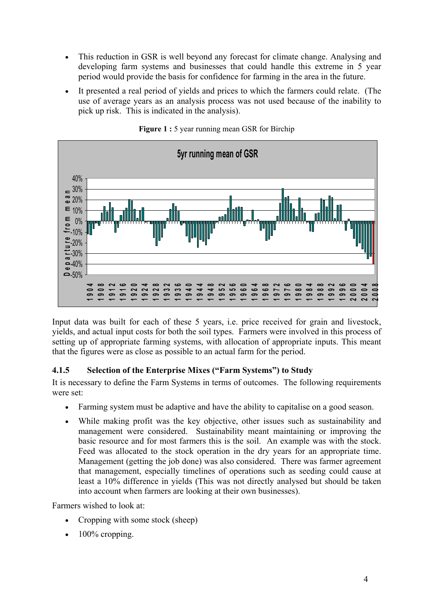- This reduction in GSR is well beyond any forecast for climate change. Analysing and developing farm systems and businesses that could handle this extreme in 5 year period would provide the basis for confidence for farming in the area in the future.
- It presented a real period of yields and prices to which the farmers could relate. (The use of average years as an analysis process was not used because of the inability to pick up risk. This is indicated in the analysis).



**Figure 1 :** 5 year running mean GSR for Birchip

Input data was built for each of these 5 years, i.e. price received for grain and livestock, yields, and actual input costs for both the soil types. Farmers were involved in this process of setting up of appropriate farming systems, with allocation of appropriate inputs. This meant that the figures were as close as possible to an actual farm for the period.

### **4.1.5 Selection of the Enterprise Mixes ("Farm Systems") to Study**

It is necessary to define the Farm Systems in terms of outcomes. The following requirements were set:

- Farming system must be adaptive and have the ability to capitalise on a good season.
- While making profit was the key objective, other issues such as sustainability and management were considered. Sustainability meant maintaining or improving the basic resource and for most farmers this is the soil. An example was with the stock. Feed was allocated to the stock operation in the dry years for an appropriate time. Management (getting the job done) was also considered. There was farmer agreement that management, especially timelines of operations such as seeding could cause at least a 10% difference in yields (This was not directly analysed but should be taken into account when farmers are looking at their own businesses).

Farmers wished to look at:

- Cropping with some stock (sheep)
- 100% cropping.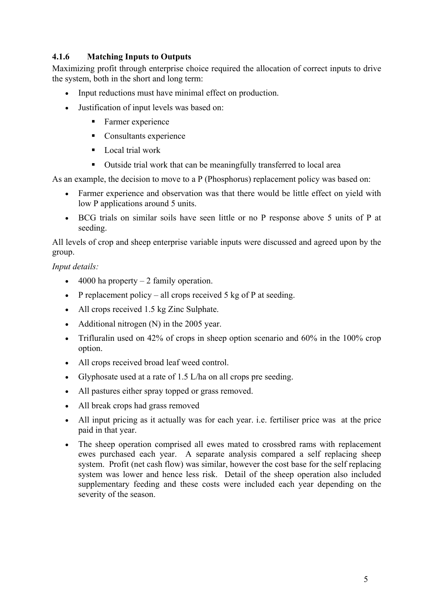### **4.1.6 Matching Inputs to Outputs**

Maximizing profit through enterprise choice required the allocation of correct inputs to drive the system, both in the short and long term:

- Input reductions must have minimal effect on production.
- Justification of input levels was based on:
	- **Farmer experience**
	- Consultants experience
	- $\blacksquare$  Local trial work
	- Outside trial work that can be meaningfully transferred to local area

As an example, the decision to move to a P (Phosphorus) replacement policy was based on:

- Farmer experience and observation was that there would be little effect on yield with low P applications around 5 units.
- BCG trials on similar soils have seen little or no P response above 5 units of P at seeding.

All levels of crop and sheep enterprise variable inputs were discussed and agreed upon by the group.

*Input details:* 

- $\bullet$  4000 ha property 2 family operation.
- P replacement policy all crops received  $5 \text{ kg of P at seeding.}$
- All crops received 1.5 kg Zinc Sulphate.
- Additional nitrogen (N) in the 2005 year.
- Trifluralin used on 42% of crops in sheep option scenario and 60% in the 100% crop option.
- All crops received broad leaf weed control.
- Glyphosate used at a rate of 1.5 L/ha on all crops pre seeding.
- All pastures either spray topped or grass removed.
- All break crops had grass removed
- All input pricing as it actually was for each year. i.e. fertiliser price was at the price paid in that year.
- The sheep operation comprised all ewes mated to crossbred rams with replacement ewes purchased each year. A separate analysis compared a self replacing sheep system. Profit (net cash flow) was similar, however the cost base for the self replacing system was lower and hence less risk. Detail of the sheep operation also included supplementary feeding and these costs were included each year depending on the severity of the season.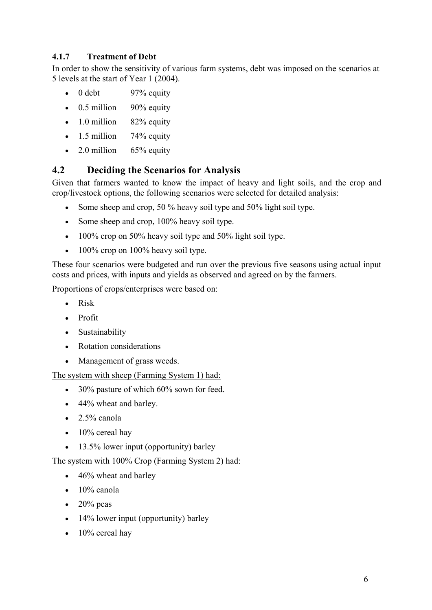### **4.1.7 Treatment of Debt**

In order to show the sensitivity of various farm systems, debt was imposed on the scenarios at 5 levels at the start of Year 1 (2004).

- $0$  debt  $97%$  equity
- 0.5 million 90% equity
- 1.0 million  $82\%$  equity
- 1.5 million  $74\%$  equity
- 2.0 million  $65\%$  equity

## **4.2 Deciding the Scenarios for Analysis**

Given that farmers wanted to know the impact of heavy and light soils, and the crop and crop/livestock options, the following scenarios were selected for detailed analysis:

- Some sheep and crop, 50 % heavy soil type and 50% light soil type.
- Some sheep and crop, 100% heavy soil type.
- 100% crop on 50% heavy soil type and 50% light soil type.
- $\cdot$  100% crop on 100% heavy soil type.

These four scenarios were budgeted and run over the previous five seasons using actual input costs and prices, with inputs and yields as observed and agreed on by the farmers.

Proportions of crops/enterprises were based on:

- Risk
- Profit
- Sustainability
- Rotation considerations
- Management of grass weeds.

The system with sheep (Farming System 1) had:

- 30% pasture of which 60% sown for feed.
- 44% wheat and barley.
- $\bullet$  2.5% canola
- $\bullet$  10% cereal hav
- 13.5% lower input (opportunity) barley

### The system with 100% Crop (Farming System 2) had:

- 46% wheat and barley
- $\bullet$  10% canola
- $\bullet$  20% peas
- 14% lower input (opportunity) barley
- $\bullet$  10% cereal hay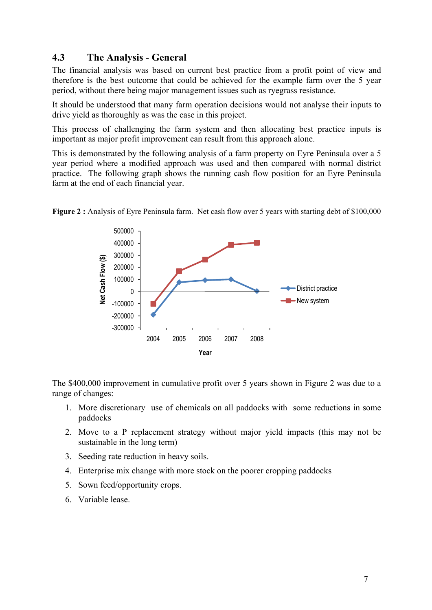## **4.3 The Analysis - General**

The financial analysis was based on current best practice from a profit point of view and therefore is the best outcome that could be achieved for the example farm over the 5 year period, without there being major management issues such as ryegrass resistance.

It should be understood that many farm operation decisions would not analyse their inputs to drive yield as thoroughly as was the case in this project.

This process of challenging the farm system and then allocating best practice inputs is important as major profit improvement can result from this approach alone.

This is demonstrated by the following analysis of a farm property on Eyre Peninsula over a 5 year period where a modified approach was used and then compared with normal district practice. The following graph shows the running cash flow position for an Eyre Peninsula farm at the end of each financial year.



**Figure 2 :** Analysis of Eyre Peninsula farm. Net cash flow over 5 years with starting debt of \$100,000

The \$400,000 improvement in cumulative profit over 5 years shown in Figure 2 was due to a range of changes:

- 1. More discretionary use of chemicals on all paddocks with some reductions in some paddocks
- 2. Move to a P replacement strategy without major yield impacts (this may not be sustainable in the long term)
- 3. Seeding rate reduction in heavy soils.
- 4. Enterprise mix change with more stock on the poorer cropping paddocks
- 5. Sown feed/opportunity crops.
- 6. Variable lease.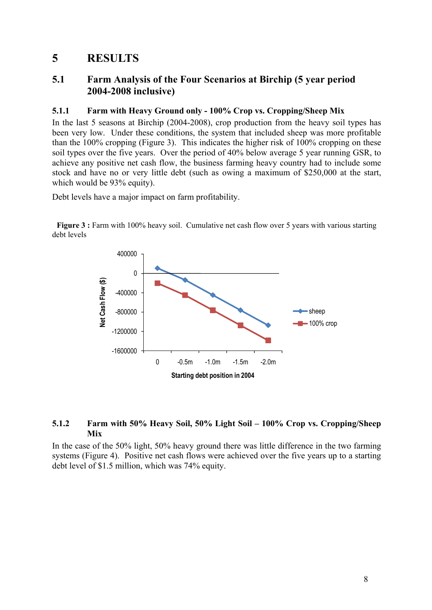# **5 RESULTS**

## **5.1 Farm Analysis of the Four Scenarios at Birchip (5 year period 2004-2008 inclusive)**

#### **5.1.1 Farm with Heavy Ground only - 100% Crop vs. Cropping/Sheep Mix**

In the last 5 seasons at Birchip (2004-2008), crop production from the heavy soil types has been very low. Under these conditions, the system that included sheep was more profitable than the 100% cropping (Figure 3). This indicates the higher risk of 100% cropping on these soil types over the five years. Over the period of 40% below average 5 year running GSR, to achieve any positive net cash flow, the business farming heavy country had to include some stock and have no or very little debt (such as owing a maximum of \$250,000 at the start, which would be 93% equity).

Debt levels have a major impact on farm profitability.

**Figure 3 :** Farm with 100% heavy soil. Cumulative net cash flow over 5 years with various starting debt levels



#### **5.1.2 Farm with 50% Heavy Soil, 50% Light Soil – 100% Crop vs. Cropping/Sheep Mix**

In the case of the 50% light, 50% heavy ground there was little difference in the two farming systems (Figure 4). Positive net cash flows were achieved over the five years up to a starting debt level of \$1.5 million, which was 74% equity.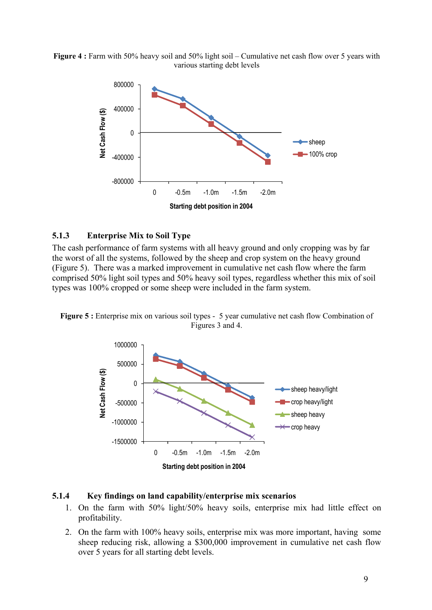**Figure 4 :** Farm with 50% heavy soil and 50% light soil – Cumulative net cash flow over 5 years with various starting debt levels



#### **5.1.3 Enterprise Mix to Soil Type**

The cash performance of farm systems with all heavy ground and only cropping was by far the worst of all the systems, followed by the sheep and crop system on the heavy ground (Figure 5). There was a marked improvement in cumulative net cash flow where the farm comprised 50% light soil types and 50% heavy soil types, regardless whether this mix of soil types was 100% cropped or some sheep were included in the farm system.





#### **5.1.4 Key findings on land capability/enterprise mix scenarios**

- 1. On the farm with 50% light/50% heavy soils, enterprise mix had little effect on profitability.
- 2. On the farm with 100% heavy soils, enterprise mix was more important, having some sheep reducing risk, allowing a \$300,000 improvement in cumulative net cash flow over 5 years for all starting debt levels.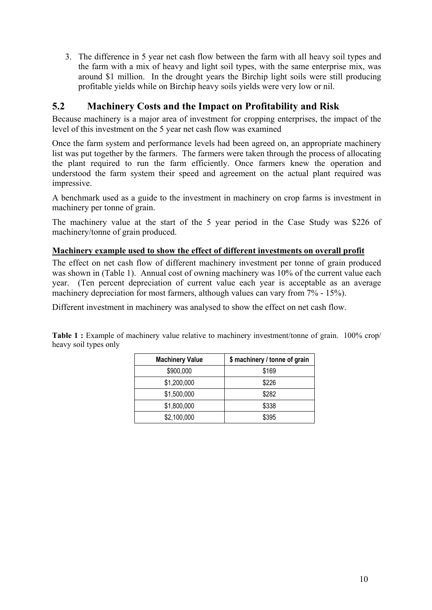3. The difference in 5 year net cash flow between the farm with all heavy soil types and the farm with a mix of heavy and light soil types, with the same enterprise mix, was around \$1 million. In the drought years the Birchip light soils were still producing profitable yields while on Birchip heavy soils yields were very low or nil.

## **5.2 Machinery Costs and the Impact on Profitability and Risk**

Because machinery is a major area of investment for cropping enterprises, the impact of the level of this investment on the 5 year net cash flow was examined

Once the farm system and performance levels had been agreed on, an appropriate machinery list was put together by the farmers. The farmers were taken through the process of allocating the plant required to run the farm efficiently. Once farmers knew the operation and understood the farm system their speed and agreement on the actual plant required was impressive.

A benchmark used as a guide to the investment in machinery on crop farms is investment in machinery per tonne of grain.

The machinery value at the start of the 5 year period in the Case Study was \$226 of machinery/tonne of grain produced.

#### **Machinery example used to show the effect of different investments on overall profit**

The effect on net cash flow of different machinery investment per tonne of grain produced was shown in (Table 1). Annual cost of owning machinery was 10% of the current value each year. (Ten percent depreciation of current value each year is acceptable as an average machinery depreciation for most farmers, although values can vary from 7% - 15%).

Different investment in machinery was analysed to show the effect on net cash flow.

**Table 1 :** Example of machinery value relative to machinery investment/tonne of grain. 100% crop/ heavy soil types only

| <b>Machinery Value</b> | \$ machinery / tonne of grain |  |
|------------------------|-------------------------------|--|
| \$900,000              | \$169                         |  |
| \$1,200,000            | \$226                         |  |
| \$1,500,000            | \$282                         |  |
| \$1,800,000            | \$338                         |  |
| \$2,100,000            | \$395                         |  |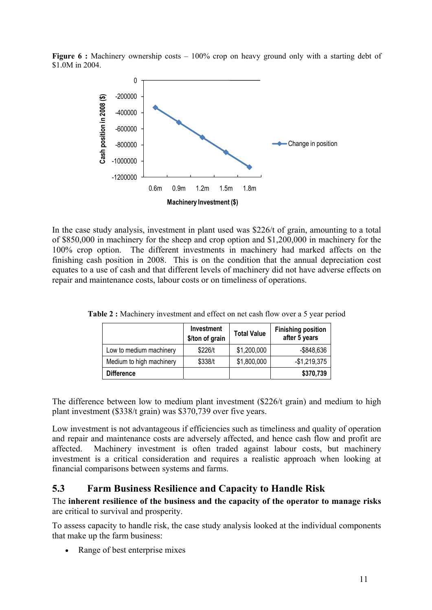**Figure 6 :** Machinery ownership costs – 100% crop on heavy ground only with a starting debt of \$1.0M in 2004.



In the case study analysis, investment in plant used was \$226/t of grain, amounting to a total of \$850,000 in machinery for the sheep and crop option and \$1,200,000 in machinery for the 100% crop option. The different investments in machinery had marked affects on the finishing cash position in 2008. This is on the condition that the annual depreciation cost equates to a use of cash and that different levels of machinery did not have adverse effects on repair and maintenance costs, labour costs or on timeliness of operations.

|                          | <b>Investment</b><br>\$/ton of grain | <b>Total Value</b> | <b>Finishing position</b><br>after 5 years |
|--------------------------|--------------------------------------|--------------------|--------------------------------------------|
| Low to medium machinery  | \$226/t                              | \$1,200,000        | -\$848,636                                 |
| Medium to high machinery | \$338/t                              | \$1,800,000        | $-$1,219,375$                              |
| <b>Difference</b>        |                                      |                    | \$370,739                                  |

**Table 2 :** Machinery investment and effect on net cash flow over a 5 year period

The difference between low to medium plant investment (\$226/t grain) and medium to high plant investment (\$338/t grain) was \$370,739 over five years.

Low investment is not advantageous if efficiencies such as timeliness and quality of operation and repair and maintenance costs are adversely affected, and hence cash flow and profit are affected. Machinery investment is often traded against labour costs, but machinery investment is a critical consideration and requires a realistic approach when looking at financial comparisons between systems and farms.

## **5.3 Farm Business Resilience and Capacity to Handle Risk**

#### The **inherent resilience of the business and the capacity of the operator to manage risks** are critical to survival and prosperity.

To assess capacity to handle risk, the case study analysis looked at the individual components that make up the farm business:

Range of best enterprise mixes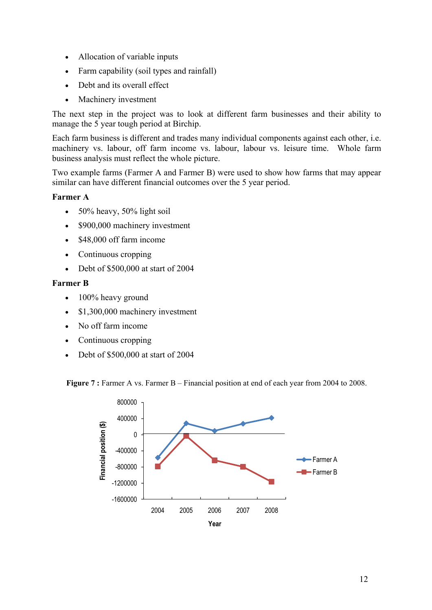- Allocation of variable inputs
- Farm capability (soil types and rainfall)
- Debt and its overall effect
- Machinery investment

The next step in the project was to look at different farm businesses and their ability to manage the 5 year tough period at Birchip.

Each farm business is different and trades many individual components against each other, i.e. machinery vs. labour, off farm income vs. labour, labour vs. leisure time. Whole farm business analysis must reflect the whole picture.

Two example farms (Farmer A and Farmer B) were used to show how farms that may appear similar can have different financial outcomes over the 5 year period.

#### **Farmer A**

- $50\%$  heavy,  $50\%$  light soil
- \$900,000 machinery investment
- \$48,000 off farm income
- Continuous cropping
- Debt of \$500,000 at start of 2004

#### **Farmer B**

- 100% heavy ground
- \$1,300,000 machinery investment
- No off farm income
- Continuous cropping
- Debt of \$500,000 at start of 2004

**Figure 7 :** Farmer A vs. Farmer B – Financial position at end of each year from 2004 to 2008.

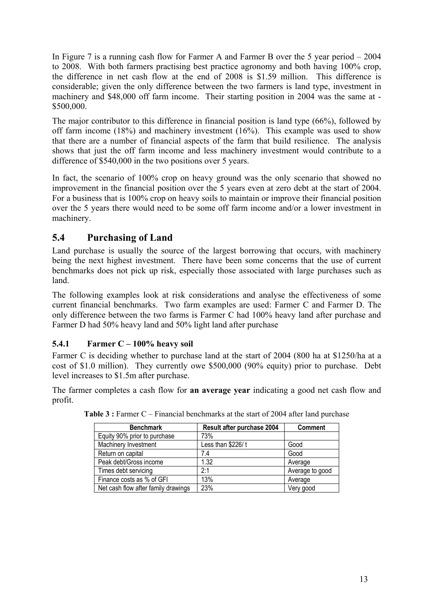In Figure 7 is a running cash flow for Farmer A and Farmer B over the 5 year period – 2004 to 2008. With both farmers practising best practice agronomy and both having 100% crop, the difference in net cash flow at the end of 2008 is \$1.59 million. This difference is considerable; given the only difference between the two farmers is land type, investment in machinery and \$48,000 off farm income. Their starting position in 2004 was the same at - \$500,000.

The major contributor to this difference in financial position is land type (66%), followed by off farm income (18%) and machinery investment (16%). This example was used to show that there are a number of financial aspects of the farm that build resilience. The analysis shows that just the off farm income and less machinery investment would contribute to a difference of \$540,000 in the two positions over 5 years.

In fact, the scenario of 100% crop on heavy ground was the only scenario that showed no improvement in the financial position over the 5 years even at zero debt at the start of 2004. For a business that is 100% crop on heavy soils to maintain or improve their financial position over the 5 years there would need to be some off farm income and/or a lower investment in machinery.

# **5.4 Purchasing of Land**

Land purchase is usually the source of the largest borrowing that occurs, with machinery being the next highest investment. There have been some concerns that the use of current benchmarks does not pick up risk, especially those associated with large purchases such as land.

The following examples look at risk considerations and analyse the effectiveness of some current financial benchmarks. Two farm examples are used: Farmer C and Farmer D. The only difference between the two farms is Farmer C had 100% heavy land after purchase and Farmer D had 50% heavy land and 50% light land after purchase

## **5.4.1 Farmer C – 100% heavy soil**

Farmer C is deciding whether to purchase land at the start of 2004 (800 ha at \$1250/ha at a cost of \$1.0 million). They currently owe \$500,000 (90% equity) prior to purchase. Debt level increases to \$1.5m after purchase.

The farmer completes a cash flow for **an average year** indicating a good net cash flow and profit.

| <b>Benchmark</b>                    | Result after purchase 2004 | <b>Comment</b>  |
|-------------------------------------|----------------------------|-----------------|
| Equity 90% prior to purchase        | 73%                        |                 |
| Machinery Investment                | Less than \$226/t          | Good            |
| Return on capital                   | 7.4                        | Good            |
| Peak debt/Gross income              | 1.32                       | Average         |
| Times debt servicing                | 2:1                        | Average to good |
| Finance costs as % of GFI           | 13%                        | Average         |
| Net cash flow after family drawings | 23%                        | Very good       |

**Table 3 :** Farmer C – Financial benchmarks at the start of 2004 after land purchase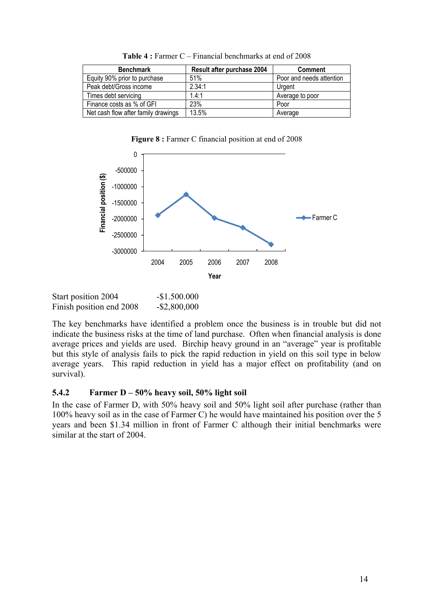| <b>Benchmark</b>                    | Result after purchase 2004 | <b>Comment</b>           |
|-------------------------------------|----------------------------|--------------------------|
| Equity 90% prior to purchase        | 51%                        | Poor and needs attention |
| Peak debt/Gross income              | 2.34:1                     | Urgent                   |
| Times debt servicing                | 1.4:1                      | Average to poor          |
| Finance costs as % of GFI           | 23%                        | Poor                     |
| Net cash flow after family drawings | 13.5%                      | Average                  |

Table 4 : Farmer C – Financial benchmarks at end of 2008

**Figure 8 :** Farmer C financial position at end of 2008



Start position 2004 - \$1.500.000 Finish position end 2008 - \$2,800,000

The key benchmarks have identified a problem once the business is in trouble but did not indicate the business risks at the time of land purchase. Often when financial analysis is done average prices and yields are used. Birchip heavy ground in an "average" year is profitable but this style of analysis fails to pick the rapid reduction in yield on this soil type in below average years. This rapid reduction in yield has a major effect on profitability (and on survival).

#### **5.4.2 Farmer D – 50% heavy soil, 50% light soil**

In the case of Farmer D, with 50% heavy soil and 50% light soil after purchase (rather than 100% heavy soil as in the case of Farmer C) he would have maintained his position over the 5 years and been \$1.34 million in front of Farmer C although their initial benchmarks were similar at the start of 2004.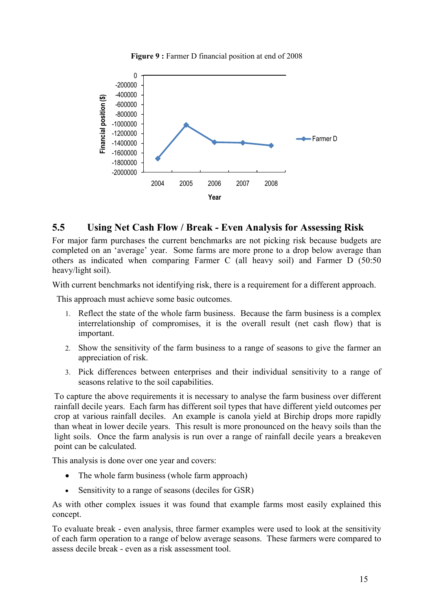



### **5.5 Using Net Cash Flow / Break - Even Analysis for Assessing Risk**

For major farm purchases the current benchmarks are not picking risk because budgets are completed on an 'average' year. Some farms are more prone to a drop below average than others as indicated when comparing Farmer C (all heavy soil) and Farmer D (50:50 heavy/light soil).

With current benchmarks not identifying risk, there is a requirement for a different approach.

This approach must achieve some basic outcomes.

- 1. Reflect the state of the whole farm business. Because the farm business is a complex interrelationship of compromises, it is the overall result (net cash flow) that is important.
- 2. Show the sensitivity of the farm business to a range of seasons to give the farmer an appreciation of risk.
- 3. Pick differences between enterprises and their individual sensitivity to a range of seasons relative to the soil capabilities.

To capture the above requirements it is necessary to analyse the farm business over different rainfall decile years. Each farm has different soil types that have different yield outcomes per crop at various rainfall deciles. An example is canola yield at Birchip drops more rapidly than wheat in lower decile years. This result is more pronounced on the heavy soils than the light soils. Once the farm analysis is run over a range of rainfall decile years a breakeven point can be calculated.

This analysis is done over one year and covers:

- The whole farm business (whole farm approach)
- Sensitivity to a range of seasons (deciles for GSR)

As with other complex issues it was found that example farms most easily explained this concept.

To evaluate break - even analysis, three farmer examples were used to look at the sensitivity of each farm operation to a range of below average seasons. These farmers were compared to assess decile break - even as a risk assessment tool.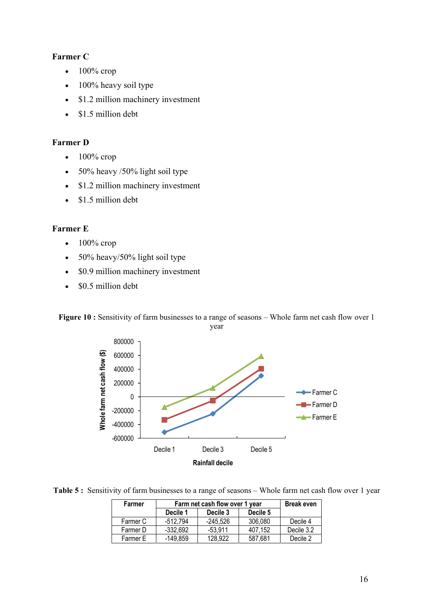### **Farmer C**

- $\bullet$  100% crop
- 100% heavy soil type
- \$1.2 million machinery investment
- \$1.5 million debt

#### **Farmer D**

- $\bullet$  100% crop
- 50% heavy /50% light soil type
- \$1.2 million machinery investment
- \$1.5 million debt

#### **Farmer E**

- $\bullet$  100% crop
- 50% heavy/50% light soil type
- \$0.9 million machinery investment
- \$0.5 million debt

Figure 10 : Sensitivity of farm businesses to a range of seasons - Whole farm net cash flow over 1

year



Table 5 : Sensitivity of farm businesses to a range of seasons – Whole farm net cash flow over 1 year

| Farmer   | Farm net cash flow over 1 year |           |          | <b>Break even</b> |
|----------|--------------------------------|-----------|----------|-------------------|
|          | Decile 1                       | Decile 3  | Decile 5 |                   |
| Farmer C | -512.794                       | -245.526  | 306.080  | Decile 4          |
| Farmer D | $-332.692$                     | $-53.911$ | 407.152  | Decile 3.2        |
| Farmer E | -149.859                       | 128,922   | 587,681  | Decile 2          |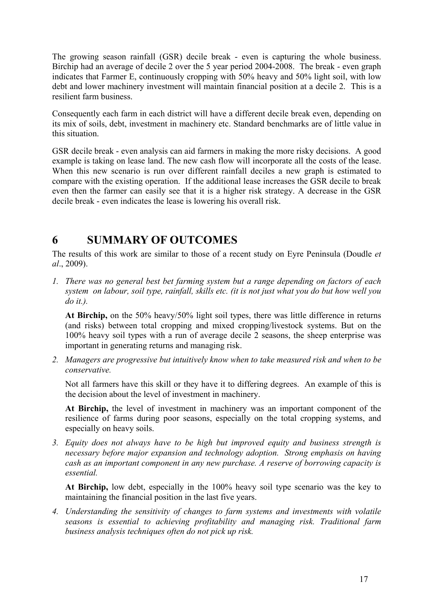The growing season rainfall (GSR) decile break - even is capturing the whole business. Birchip had an average of decile 2 over the 5 year period 2004-2008. The break - even graph indicates that Farmer E, continuously cropping with 50% heavy and 50% light soil, with low debt and lower machinery investment will maintain financial position at a decile 2. This is a resilient farm business.

Consequently each farm in each district will have a different decile break even, depending on its mix of soils, debt, investment in machinery etc. Standard benchmarks are of little value in this situation.

GSR decile break - even analysis can aid farmers in making the more risky decisions. A good example is taking on lease land. The new cash flow will incorporate all the costs of the lease. When this new scenario is run over different rainfall deciles a new graph is estimated to compare with the existing operation. If the additional lease increases the GSR decile to break even then the farmer can easily see that it is a higher risk strategy. A decrease in the GSR decile break - even indicates the lease is lowering his overall risk.

# **6 SUMMARY OF OUTCOMES**

The results of this work are similar to those of a recent study on Eyre Peninsula (Doudle *et al*., 2009).

*1. There was no general best bet farming system but a range depending on factors of each system on labour, soil type, rainfall, skills etc. (it is not just what you do but how well you do it.).* 

**At Birchip,** on the 50% heavy/50% light soil types, there was little difference in returns (and risks) between total cropping and mixed cropping/livestock systems. But on the 100% heavy soil types with a run of average decile 2 seasons, the sheep enterprise was important in generating returns and managing risk.

*2. Managers are progressive but intuitively know when to take measured risk and when to be conservative.* 

Not all farmers have this skill or they have it to differing degrees. An example of this is the decision about the level of investment in machinery.

**At Birchip,** the level of investment in machinery was an important component of the resilience of farms during poor seasons, especially on the total cropping systems, and especially on heavy soils.

*3. Equity does not always have to be high but improved equity and business strength is necessary before major expansion and technology adoption. Strong emphasis on having cash as an important component in any new purchase. A reserve of borrowing capacity is essential.* 

**At Birchip,** low debt, especially in the 100% heavy soil type scenario was the key to maintaining the financial position in the last five years.

*4. Understanding the sensitivity of changes to farm systems and investments with volatile seasons is essential to achieving profitability and managing risk. Traditional farm business analysis techniques often do not pick up risk.*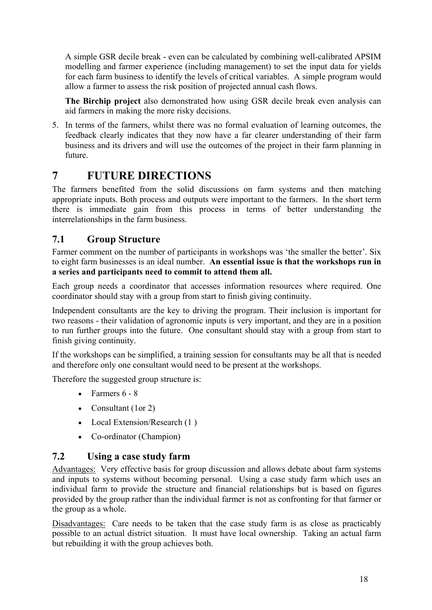A simple GSR decile break - even can be calculated by combining well-calibrated APSIM modelling and farmer experience (including management) to set the input data for yields for each farm business to identify the levels of critical variables. A simple program would allow a farmer to assess the risk position of projected annual cash flows.

**The Birchip project** also demonstrated how using GSR decile break even analysis can aid farmers in making the more risky decisions.

5. In terms of the farmers, whilst there was no formal evaluation of learning outcomes, the feedback clearly indicates that they now have a far clearer understanding of their farm business and its drivers and will use the outcomes of the project in their farm planning in future.

# **7 FUTURE DIRECTIONS**

The farmers benefited from the solid discussions on farm systems and then matching appropriate inputs. Both process and outputs were important to the farmers. In the short term there is immediate gain from this process in terms of better understanding the interrelationships in the farm business.

## **7.1 Group Structure**

Farmer comment on the number of participants in workshops was 'the smaller the better'. Six to eight farm businesses is an ideal number. **An essential issue is that the workshops run in a series and participants need to commit to attend them all.** 

Each group needs a coordinator that accesses information resources where required. One coordinator should stay with a group from start to finish giving continuity.

Independent consultants are the key to driving the program. Their inclusion is important for two reasons - their validation of agronomic inputs is very important, and they are in a position to run further groups into the future. One consultant should stay with a group from start to finish giving continuity.

If the workshops can be simplified, a training session for consultants may be all that is needed and therefore only one consultant would need to be present at the workshops.

Therefore the suggested group structure is:

- Farmers  $6 8$
- Consultant (1or 2)
- Local Extension/Research (1)
- Co-ordinator (Champion)

### **7.2 Using a case study farm**

Advantages: Very effective basis for group discussion and allows debate about farm systems and inputs to systems without becoming personal. Using a case study farm which uses an individual farm to provide the structure and financial relationships but is based on figures provided by the group rather than the individual farmer is not as confronting for that farmer or the group as a whole.

Disadvantages: Care needs to be taken that the case study farm is as close as practicably possible to an actual district situation. It must have local ownership. Taking an actual farm but rebuilding it with the group achieves both.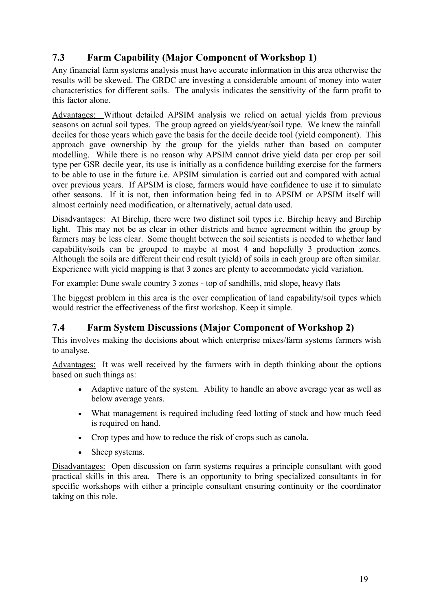# **7.3 Farm Capability (Major Component of Workshop 1)**

Any financial farm systems analysis must have accurate information in this area otherwise the results will be skewed. The GRDC are investing a considerable amount of money into water characteristics for different soils. The analysis indicates the sensitivity of the farm profit to this factor alone.

Advantages: Without detailed APSIM analysis we relied on actual yields from previous seasons on actual soil types. The group agreed on yields/year/soil type. We knew the rainfall deciles for those years which gave the basis for the decile decide tool (yield component). This approach gave ownership by the group for the yields rather than based on computer modelling. While there is no reason why APSIM cannot drive yield data per crop per soil type per GSR decile year, its use is initially as a confidence building exercise for the farmers to be able to use in the future i.e. APSIM simulation is carried out and compared with actual over previous years. If APSIM is close, farmers would have confidence to use it to simulate other seasons. If it is not, then information being fed in to APSIM or APSIM itself will almost certainly need modification, or alternatively, actual data used.

Disadvantages: At Birchip, there were two distinct soil types i.e. Birchip heavy and Birchip light. This may not be as clear in other districts and hence agreement within the group by farmers may be less clear. Some thought between the soil scientists is needed to whether land capability/soils can be grouped to maybe at most 4 and hopefully 3 production zones. Although the soils are different their end result (yield) of soils in each group are often similar. Experience with yield mapping is that 3 zones are plenty to accommodate yield variation.

For example: Dune swale country 3 zones - top of sandhills, mid slope, heavy flats

The biggest problem in this area is the over complication of land capability/soil types which would restrict the effectiveness of the first workshop. Keep it simple.

## **7.4 Farm System Discussions (Major Component of Workshop 2)**

This involves making the decisions about which enterprise mixes/farm systems farmers wish to analyse.

Advantages: It was well received by the farmers with in depth thinking about the options based on such things as:

- Adaptive nature of the system. Ability to handle an above average year as well as below average years.
- What management is required including feed lotting of stock and how much feed is required on hand.
- Crop types and how to reduce the risk of crops such as canola.
- Sheep systems.

Disadvantages: Open discussion on farm systems requires a principle consultant with good practical skills in this area. There is an opportunity to bring specialized consultants in for specific workshops with either a principle consultant ensuring continuity or the coordinator taking on this role.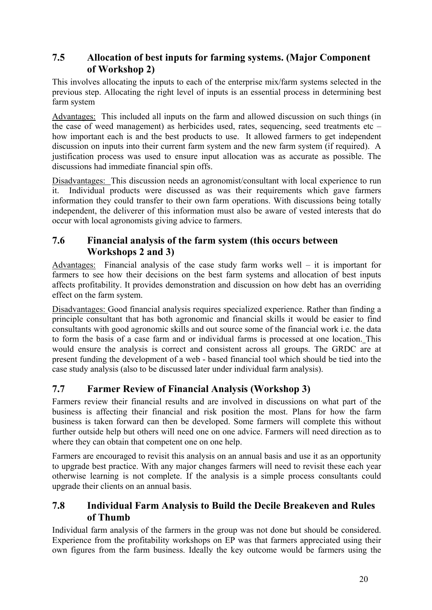## **7.5 Allocation of best inputs for farming systems. (Major Component of Workshop 2)**

This involves allocating the inputs to each of the enterprise mix/farm systems selected in the previous step. Allocating the right level of inputs is an essential process in determining best farm system

Advantages: This included all inputs on the farm and allowed discussion on such things (in the case of weed management) as herbicides used, rates, sequencing, seed treatments etc – how important each is and the best products to use. It allowed farmers to get independent discussion on inputs into their current farm system and the new farm system (if required). A justification process was used to ensure input allocation was as accurate as possible. The discussions had immediate financial spin offs.

Disadvantages: This discussion needs an agronomist/consultant with local experience to run it. Individual products were discussed as was their requirements which gave farmers information they could transfer to their own farm operations. With discussions being totally independent, the deliverer of this information must also be aware of vested interests that do occur with local agronomists giving advice to farmers.

## **7.6 Financial analysis of the farm system (this occurs between Workshops 2 and 3)**

Advantages: Financial analysis of the case study farm works well – it is important for farmers to see how their decisions on the best farm systems and allocation of best inputs affects profitability. It provides demonstration and discussion on how debt has an overriding effect on the farm system.

Disadvantages: Good financial analysis requires specialized experience. Rather than finding a principle consultant that has both agronomic and financial skills it would be easier to find consultants with good agronomic skills and out source some of the financial work i.e. the data to form the basis of a case farm and or individual farms is processed at one location. This would ensure the analysis is correct and consistent across all groups. The GRDC are at present funding the development of a web - based financial tool which should be tied into the case study analysis (also to be discussed later under individual farm analysis).

# **7.7 Farmer Review of Financial Analysis (Workshop 3)**

Farmers review their financial results and are involved in discussions on what part of the business is affecting their financial and risk position the most. Plans for how the farm business is taken forward can then be developed. Some farmers will complete this without further outside help but others will need one on one advice. Farmers will need direction as to where they can obtain that competent one on one help.

Farmers are encouraged to revisit this analysis on an annual basis and use it as an opportunity to upgrade best practice. With any major changes farmers will need to revisit these each year otherwise learning is not complete. If the analysis is a simple process consultants could upgrade their clients on an annual basis.

## **7.8 Individual Farm Analysis to Build the Decile Breakeven and Rules of Thumb**

Individual farm analysis of the farmers in the group was not done but should be considered. Experience from the profitability workshops on EP was that farmers appreciated using their own figures from the farm business. Ideally the key outcome would be farmers using the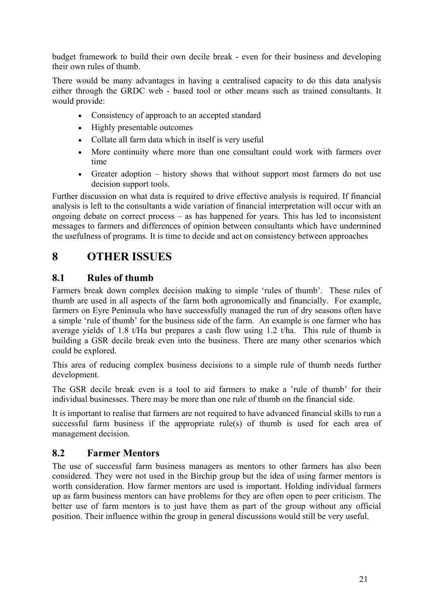budget framework to build their own decile break - even for their business and developing their own rules of thumb.

There would be many advantages in having a centralised capacity to do this data analysis either through the GRDC web - based tool or other means such as trained consultants. It would provide:

- Consistency of approach to an accepted standard
- Highly presentable outcomes
- Collate all farm data which in itself is very useful
- More continuity where more than one consultant could work with farmers over time
- Greater adoption history shows that without support most farmers do not use decision support tools.

Further discussion on what data is required to drive effective analysis is required. If financial analysis is left to the consultants a wide variation of financial interpretation will occur with an ongoing debate on correct process – as has happened for years. This has led to inconsistent messages to farmers and differences of opinion between consultants which have undermined the usefulness of programs. It is time to decide and act on consistency between approaches

# **8 OTHER ISSUES**

### **8.1 Rules of thumb**

Farmers break down complex decision making to simple 'rules of thumb'. These rules of thumb are used in all aspects of the farm both agronomically and financially. For example, farmers on Eyre Peninsula who have successfully managed the run of dry seasons often have a simple 'rule of thumb' for the business side of the farm. An example is one farmer who has average yields of 1.8 t/Ha but prepares a cash flow using 1.2 t/ha. This rule of thumb is building a GSR decile break even into the business. There are many other scenarios which could be explored.

This area of reducing complex business decisions to a simple rule of thumb needs further development.

The GSR decile break even is a tool to aid farmers to make a 'rule of thumb' for their individual businesses. There may be more than one rule of thumb on the financial side.

It is important to realise that farmers are not required to have advanced financial skills to run a successful farm business if the appropriate rule(s) of thumb is used for each area of management decision.

## **8.2 Farmer Mentors**

The use of successful farm business managers as mentors to other farmers has also been considered. They were not used in the Birchip group but the idea of using farmer mentors is worth consideration. How farmer mentors are used is important. Holding individual farmers up as farm business mentors can have problems for they are often open to peer criticism. The better use of farm mentors is to just have them as part of the group without any official position. Their influence within the group in general discussions would still be very useful.